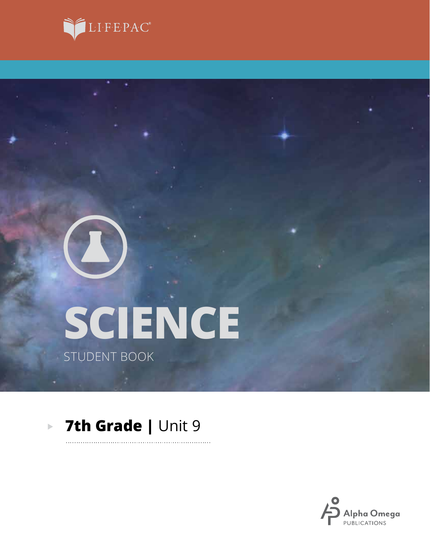



# **SCIENCE** STUDENT BOOK

#### **7th Grade |** Unit 9 $\blacktriangleright$

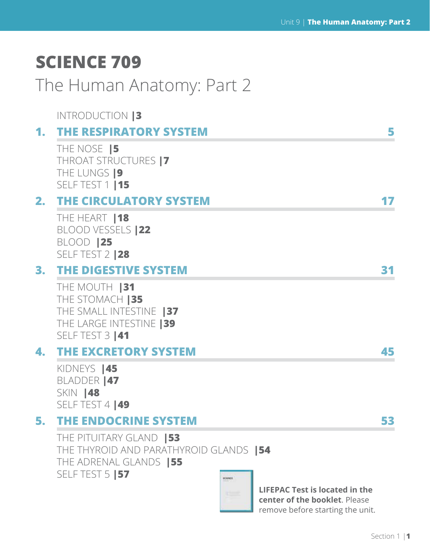# **SCIENCE 709**

# The Human Anatomy: Part 2

|    | <b>INTRODUCTION 3</b>                                                                                                          |    |
|----|--------------------------------------------------------------------------------------------------------------------------------|----|
| 1. | <b>THE RESPIRATORY SYSTEM</b>                                                                                                  | 5  |
|    | THE NOSE <b>5</b><br>THROAT STRUCTURES  7<br>THE LUNGS  9<br>SELF TEST 1   15                                                  |    |
| 2. | <b>THE CIRCULATORY SYSTEM</b>                                                                                                  |    |
|    | THE HEART   18<br>BLOOD VESSELS   22<br><b>BLOOD  25</b><br>SELF TEST 2   28                                                   |    |
|    | 3. THE DIGESTIVE SYSTEM                                                                                                        | 31 |
|    | THE MOUTH  31<br>THE STOMACH   35<br>THE SMALL INTESTINE 137<br>THE LARGE INTESTINE   39<br>SELF TEST 3   41                   |    |
|    | <b>4. THE EXCRETORY SYSTEM</b>                                                                                                 | 45 |
|    | KIDNEYS   45<br><b>BLADDER  47</b><br>SKIN <b>48</b><br>SELF TEST 4   49                                                       |    |
| 5. | <b>THE ENDOCRINE SYSTEM</b>                                                                                                    | 53 |
|    | THE PITUITARY GLAND   53<br>THE THYROID AND PARATHYROID GLANDS   54<br>THE ADRENAL GLANDS   55<br>SELF TEST 5   57<br>scisives |    |
|    | <b>LIFEPAC Test is located in the</b>                                                                                          |    |

**center of the booklet**. Please remove before starting the unit.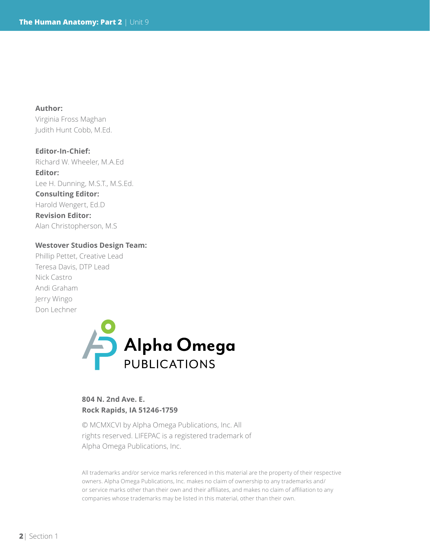**Author:**  Virginia Fross Maghan Judith Hunt Cobb, M.Ed.

**Editor-In-Chief:** Richard W. Wheeler, M.A.Ed **Editor:** Lee H. Dunning, M.S.T., M.S.Ed. **Consulting Editor:** Harold Wengert, Ed.D **Revision Editor:** Alan Christopherson, M.S

#### **Westover Studios Design Team:**

Phillip Pettet, Creative Lead Teresa Davis, DTP Lead Nick Castro Andi Graham Jerry Wingo Don Lechner



#### **804 N. 2nd Ave. E. Rock Rapids, IA 51246-1759**

© MCMXCVI by Alpha Omega Publications, Inc. All rights reserved. LIFEPAC is a registered trademark of Alpha Omega Publications, Inc.

All trademarks and/or service marks referenced in this material are the property of their respective owners. Alpha Omega Publications, Inc. makes no claim of ownership to any trademarks and/ or service marks other than their own and their affiliates, and makes no claim of affiliation to any companies whose trademarks may be listed in this material, other than their own.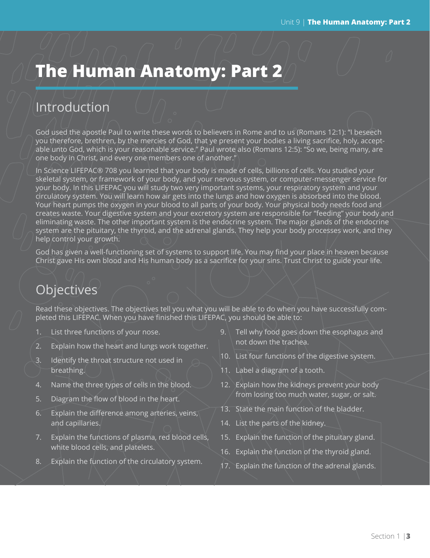# **The Human Anatomy: Part 2**

## Introduction

God used the apostle Paul to write these words to believers in Rome and to us (Romans 12:1): "I beseech you therefore, brethren, by the mercies of God, that ye present your bodies a living sacrifice, holy, acceptable unto God, which is your reasonable service." Paul wrote also (Romans 12:5): "So we, being many, are one body in Christ, and every one members one of another."

In Science LIFEPAC® 708 you learned that your body is made of cells, billions of cells. You studied your skeletal system, or framework of your body, and your nervous system, or computer-messenger service for your body. In this LIFEPAC you will study two very important systems, your respiratory system and your circulatory system. You will learn how air gets into the lungs and how oxygen is absorbed into the blood. Your heart pumps the oxygen in your blood to all parts of your body. Your physical body needs food and creates waste. Your digestive system and your excretory system are responsible for "feeding" your body and eliminating waste. The other important system is the endocrine system. The major glands of the endocrine system are the pituitary, the thyroid, and the adrenal glands. They help your body processes work, and they help control your growth.

God has given a well-functioning set of systems to support life. You may find your place in heaven because Christ gave His own blood and His human body as a sacrifice for your sins. Trust Christ to guide your life.

## **Objectives**

Read these objectives. The objectives tell you what you will be able to do when you have successfully completed this LIFEPAC. When you have finished this LIFEPAC, you should be able to:

- 1. List three functions of your nose.
- 2. Explain how the heart and lungs work together.
- 3. Identify the throat structure not used in breathing.
- 4. Name the three types of cells in the blood.
- 5. Diagram the flow of blood in the heart.
- 6. Explain the difference among arteries, veins, and capillaries.
- 7. Explain the functions of plasma, red blood cells, white blood cells, and platelets.
- 8. Explain the function of the circulatory system.
- 9. Tell why food goes down the esophagus and not down the trachea.
- 10. List four functions of the digestive system.
- 11. Label a diagram of a tooth.
- 12. Explain how the kidneys prevent your body from losing too much water, sugar, or salt.
- 13. State the main function of the bladder.
- 14. List the parts of the kidney.
- 15. Explain the function of the pituitary gland.
- 16. Explain the function of the thyroid gland.
- 17. Explain the function of the adrenal glands.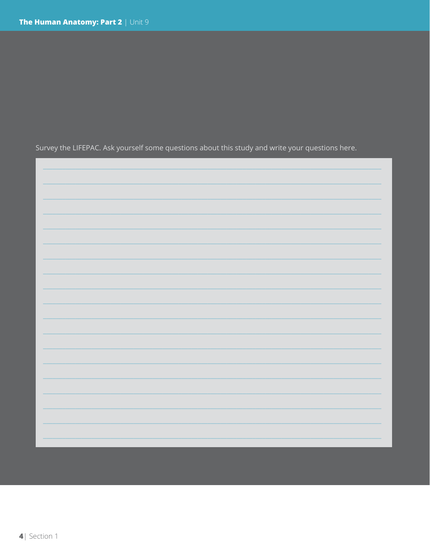Survey the LIFEPAC. Ask yourself some questions about this study and write your questions here.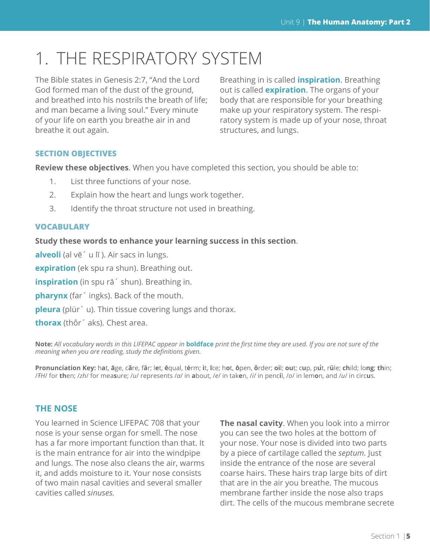# 1. THE RESPIRATORY SYSTEM

The Bible states in Genesis 2:7, "And the Lord God formed man of the dust of the ground, and breathed into his nostrils the breath of life; and man became a living soul." Every minute of your life on earth you breathe air in and breathe it out again.

Breathing in is called **inspiration**. Breathing out is called **expiration**. The organs of your body that are responsible for your breathing make up your respiratory system. The respiratory system is made up of your nose, throat structures, and lungs.

#### **SECTION OBJECTIVES**

**Review these objectives**. When you have completed this section, you should be able to:

- 1. List three functions of your nose.
- 2. Explain how the heart and lungs work together.
- 3. Identify the throat structure not used in breathing.

#### **VOCABULARY**

**Study these words to enhance your learning success in this section**.

**alveoli** (al vē´ u lī ). Air sacs in lungs.

**expiration** (ek spu ra shun). Breathing out.

**inspiration** (in spu rā´ shun). Breathing in.

**pharynx** (far´ ingks). Back of the mouth.

**pleura** (plür´ u). Thin tissue covering lungs and thorax.

**thorax** (thôr´ aks). Chest area.

**Note:** *All vocabulary words in this LIFEPAC appear in* **boldface** *print the first time they are used. If you are not sure of the meaning when you are reading, study the definitions given.*

Pronunciation Key: hat, āge, cãre, fär; let, ēqual, tėrm; it, īce; hot, ōpen, ôrder; oil; out; cup, put, rüle; child; long; thin; /FH/ for then; /zh/ for measure; /u/ represents /a/ in about, /e/ in taken, /i/ in pencil, /o/ in lemon, and /u/ in circus.

#### **THE NOSE**

You learned in Science LIFEPAC 708 that your nose is your sense organ for smell. The nose has a far more important function than that. It is the main entrance for air into the windpipe and lungs. The nose also cleans the air, warms it, and adds moisture to it. Your nose consists of two main nasal cavities and several smaller cavities called *sinuses.*

**The nasal cavity**. When you look into a mirror you can see the two holes at the bottom of your nose. Your nose is divided into two parts by a piece of cartilage called the *septum.* Just inside the entrance of the nose are several coarse hairs. These hairs trap large bits of dirt that are in the air you breathe. The mucous membrane farther inside the nose also traps dirt. The cells of the mucous membrane secrete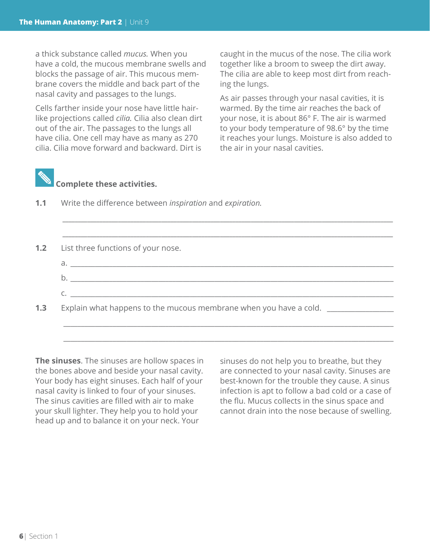a thick substance called *mucus.* When you have a cold, the mucous membrane swells and blocks the passage of air. This mucous membrane covers the middle and back part of the nasal cavity and passages to the lungs.

Cells farther inside your nose have little hairlike projections called *cilia.* Cilia also clean dirt out of the air. The passages to the lungs all have cilia. One cell may have as many as 270 cilia. Cilia move forward and backward. Dirt is

caught in the mucus of the nose. The cilia work together like a broom to sweep the dirt away. The cilia are able to keep most dirt from reaching the lungs.

As air passes through your nasal cavities, it is warmed. By the time air reaches the back of your nose, it is about 86° F. The air is warmed to your body temperature of 98.6° by the time it reaches your lungs. Moisture is also added to the air in your nasal cavities.



### **Complete these activities.**

**1.1** Write the difference between *inspiration* and *expiration.*



*\_\_\_\_\_\_\_\_\_\_\_\_\_\_\_\_\_\_\_\_\_\_\_\_\_\_\_\_\_\_\_\_\_\_\_\_\_\_\_\_\_\_\_\_\_\_\_\_\_\_\_\_\_\_\_\_\_\_\_\_\_\_\_\_\_\_\_\_\_\_\_\_\_\_\_\_\_\_\_\_\_\_\_\_\_\_\_\_\_\_\_\_\_\_\_\_\_\_\_\_\_\_\_\_\_\_\_*

\_\_\_\_\_\_\_\_\_\_\_\_\_\_\_\_\_\_\_\_\_\_\_\_\_\_\_\_\_\_\_\_\_\_\_\_\_\_\_\_\_\_\_\_\_\_\_\_\_\_\_\_\_\_\_\_\_\_\_\_\_\_\_\_\_\_\_\_\_\_\_\_\_\_\_\_\_\_\_\_\_\_\_\_\_\_\_\_\_\_\_\_\_\_

**The sinuses**. The sinuses are hollow spaces in the bones above and beside your nasal cavity. Your body has eight sinuses. Each half of your nasal cavity is linked to four of your sinuses. The sinus cavities are filled with air to make your skull lighter. They help you to hold your head up and to balance it on your neck. Your

sinuses do not help you to breathe, but they are connected to your nasal cavity. Sinuses are best-known for the trouble they cause. A sinus infection is apt to follow a bad cold or a case of the flu. Mucus collects in the sinus space and cannot drain into the nose because of swelling.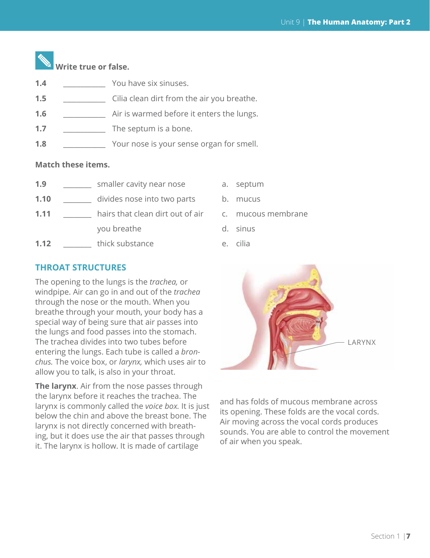

- **1.4** \_\_\_\_\_\_\_\_\_\_\_\_ You have six sinuses.
- **1.5 1.5 1.5 1.5 1.5 1.5 1.5 1.1 1.1 1.1 1.1 1.1 1.1 1.1 1.1 1.1 1.1 1.1 1.1 1.1 1.1 1.1 1.1 1.1 1.1 1.1 1.1 1.1 1.1 1.1 1.1 1.1 1.1 1.1 1.1 1.1 1.1**
- **1.6** \_\_\_\_\_\_\_\_\_\_\_\_ Air is warmed before it enters the lungs.
- **1.7** \_\_\_\_\_\_\_\_\_\_\_\_ The septum is a bone.
- **1.8** \_\_\_\_\_\_\_\_\_\_\_\_ Your nose is your sense organ for smell.

#### **Match these items.**

- **1.9 1.9** smaller cavity near nose a. septum
- **1.10 divides nose into two parts** b. mucus
- **1.11 hairs that clean dirt out of air** c. mucous membrane you breathe d. sinus
- **1.12 thick substance e.** cilia
- 
- 
- 
- -

#### **THROAT STRUCTURES**

The opening to the lungs is the *trachea,* or windpipe. Air can go in and out of the *trachea*  through the nose or the mouth. When you breathe through your mouth, your body has a special way of being sure that air passes into the lungs and food passes into the stomach. The trachea divides into two tubes before entering the lungs. Each tube is called a *bronchus.* The voice box, or *larynx,* which uses air to allow you to talk, is also in your throat.

**The larynx**. Air from the nose passes through the larynx before it reaches the trachea. The larynx is commonly called the *voice box.* It is just below the chin and above the breast bone. The larynx is not directly concerned with breathing, but it does use the air that passes through it. The larynx is hollow. It is made of cartilage



and has folds of mucous membrane across its opening. These folds are the vocal cords. Air moving across the vocal cords produces sounds. You are able to control the movement of air when you speak.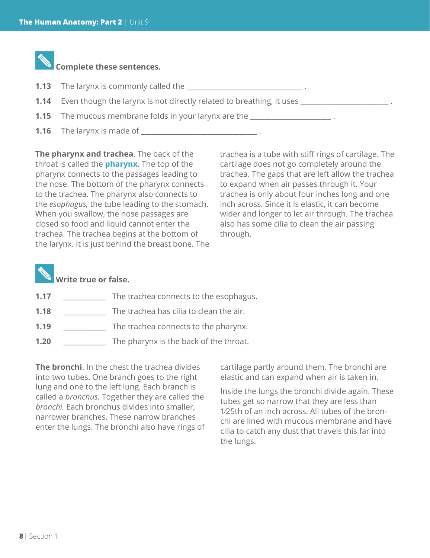

**1.16** The larynx is made of <u>equal to the later of the set of the set of the set of the set of the set of the set of the set of the set of the set of the set of the set of the set of the set of the set of the set of the s</u>

**The pharynx and trachea**. The back of the throat is called the **pharynx**. The top of the pharynx connects to the passages leading to the nose. The bottom of the pharynx connects to the trachea. The pharynx also connects to the *esophagus,* the tube leading to the stomach. When you swallow, the nose passages are closed so food and liquid cannot enter the trachea. The trachea begins at the bottom of the larynx. It is just behind the breast bone. The

trachea is a tube with stiff rings of cartilage. The cartilage does not go completely around the trachea. The gaps that are left allow the trachea to expand when air passes through it. Your trachea is only about four inches long and one inch across. Since it is elastic, it can become wider and longer to let air through. The trachea also has some cilia to clean the air passing through.

### **Write true or false.**

- **1.17** \_\_\_\_\_\_\_\_\_\_\_\_\_\_\_ The trachea connects to the esophagus.
- **1.18** \_\_\_\_\_\_\_\_\_\_\_\_ The trachea has cilia to clean the air.
- **1.19** \_\_\_\_\_\_\_\_\_\_\_\_ The trachea connects to the pharynx.
- **1.20** \_\_\_\_\_\_\_\_\_\_\_\_ The pharynx is the back of the throat.

**The bronchi**. In the chest the trachea divides into two tubes. One branch goes to the right lung and one to the left lung. Each branch is called a *bronchus.* Together they are called the *bronchi.* Each bronchus divides into smaller, narrower branches. These narrow branches enter the lungs. The bronchi also have rings of cartilage partly around them. The bronchi are elastic and can expand when air is taken in.

Inside the lungs the bronchi divide again. These tubes get so narrow that they are less than 1⁄25th of an inch across. All tubes of the bronchi are lined with mucous membrane and have cilia to catch any dust that travels this far into the lungs.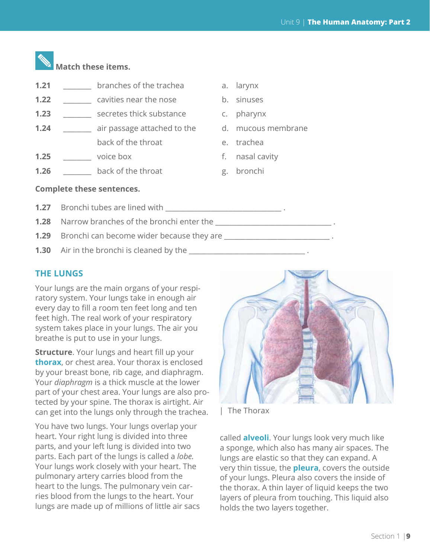

# **Match these items.**

- **1.21** \_\_\_\_\_\_\_\_\_ branches of the trachea a. larynx
- **1.22 example cavities near the nose** b. sinuses
- **1.23** \_\_\_\_\_\_\_\_\_ secretes thick substance c. pharynx
- **1.24** \_\_\_\_\_\_\_ air passage attached to the d. mucous membrane back of the throat e. trachea
- **1.25 box 1.25 voice box f.** nasal cavity
- **1.26 back of the throat** g. bronchi
- 
- 
- 
- 
- 
- 
- 

#### **Complete these sentences.**

- **1.27** Bronchi tubes are lined with **1.27** Bronchi tubes are lined with
- **1.28** Narrow branches of the bronchi enter the  $\blacksquare$
- **1.29** Bronchi can become wider because they are **with all the set of the set of the set of the set of the set of the set of the set of the set of the set of the set of the set of the set of the set of the set of the set o**
- **1.30** Air in the bronchi is cleaned by the **weakler and the set of the set of the set of the set of the set of the set of the set of the set of the set of the set of the set of the set of the set of the set of the set of**

#### **THE LUNGS**

Your lungs are the main organs of your respiratory system. Your lungs take in enough air every day to fill a room ten feet long and ten feet high. The real work of your respiratory system takes place in your lungs. The air you breathe is put to use in your lungs.

**Structure**. Your lungs and heart fill up your **thorax**, or chest area. Your thorax is enclosed by your breast bone, rib cage, and diaphragm. Your *diaphragm* is a thick muscle at the lower part of your chest area. Your lungs are also protected by your spine. The thorax is airtight. Air can get into the lungs only through the trachea.

You have two lungs. Your lungs overlap your heart. Your right lung is divided into three parts, and your left lung is divided into two parts. Each part of the lungs is called a *lobe.*  Your lungs work closely with your heart. The pulmonary artery carries blood from the heart to the lungs. The pulmonary vein carries blood from the lungs to the heart. Your lungs are made up of millions of little air sacs



| The Thorax

called **alveoli**. Your lungs look very much like a sponge, which also has many air spaces. The lungs are elastic so that they can expand. A very thin tissue, the **pleura**, covers the outside of your lungs. Pleura also covers the inside of the thorax. A thin layer of liquid keeps the two layers of pleura from touching. This liquid also holds the two layers together.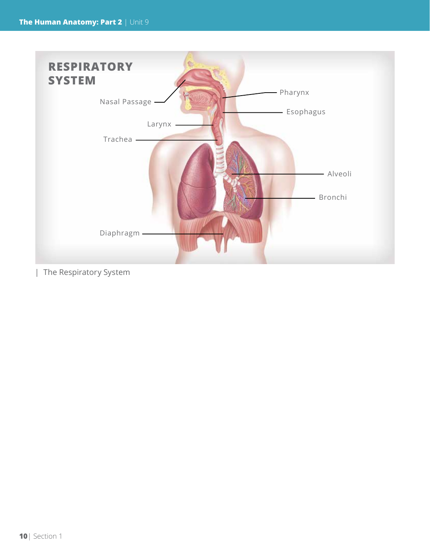

| The Respiratory System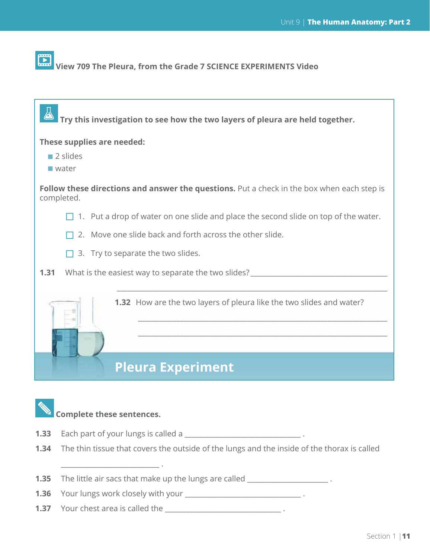#### $\Box$  **View 709 The Pleura, from the Grade 7 SCIENCE EXPERIMENTS Video**

 $\Delta$  **Try this investigation to see how the two layers of pleura are held together.**

**These supplies are needed:**

- 2 slides
- water

**Follow these directions and answer the questions.** Put a check in the box when each step is completed.

- $\Box$  1. Put a drop of water on one slide and place the second slide on top of the water.
- $\Box$  2. Move one slide back and forth across the other slide.
- $\Box$  3. Try to separate the two slides.
- **1.31** What is the easiest way to separate the two slides?

**1.32** How are the two layers of pleura like the two slides and water?

\_\_\_\_\_\_\_\_\_\_\_\_\_\_\_\_\_\_\_\_\_\_\_\_\_\_\_\_\_\_\_\_\_\_\_\_\_\_\_\_\_\_\_\_\_\_\_\_\_\_\_\_\_\_\_\_\_\_\_\_\_\_\_\_\_\_\_\_\_\_\_\_\_\_\_\_\_

\_\_\_\_\_\_\_\_\_\_\_\_\_\_\_\_\_\_\_\_\_\_\_\_\_\_\_\_\_\_\_\_\_\_\_\_\_\_\_\_\_\_\_\_\_\_\_\_\_\_\_\_\_\_\_\_\_\_\_\_\_\_\_\_\_\_\_\_\_\_\_

\_\_\_\_\_\_\_\_\_\_\_\_\_\_\_\_\_\_\_\_\_\_\_\_\_\_\_\_\_\_\_\_\_\_\_\_\_\_\_\_\_\_\_\_\_\_\_\_\_\_\_\_\_\_\_\_\_\_\_\_\_\_\_\_\_\_\_\_\_\_\_

## **Pleura Experiment**

### **Complete these sentences.**

\_\_\_\_\_\_\_\_\_\_\_\_\_\_\_\_\_\_\_\_\_\_\_\_\_\_\_\_ .

- **1.33** Each part of your lungs is called a \_\_\_\_\_\_\_\_\_\_\_\_\_\_\_\_\_\_\_\_\_\_\_\_\_\_\_\_\_\_\_\_\_ .
- **1.34** The thin tissue that covers the outside of the lungs and the inside of the thorax is called
- **1.35** The little air sacs that make up the lungs are called \_\_\_\_\_\_\_\_\_\_\_\_\_\_\_\_\_\_\_\_
- **1.36** Your lungs work closely with your \_\_\_\_\_\_\_\_\_\_\_\_\_\_\_\_\_\_\_\_\_\_\_\_\_\_\_\_\_\_\_\_\_ .
- **1.37** Your chest area is called the **wave area is the set of the set of the set of the set of the set of the set of the set of the set of the set of the set of the set of the set of the set of the set of the set of the se**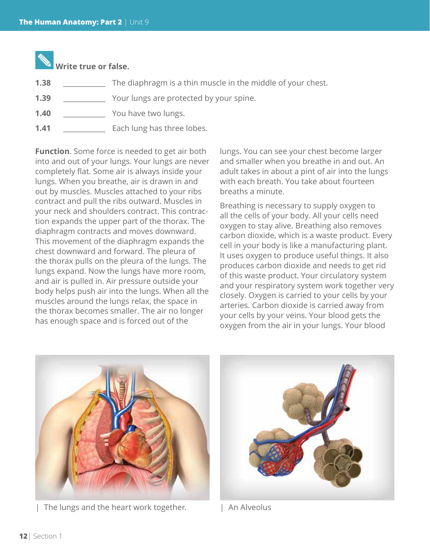

| 1.38 |  | The diaphragm is a thin muscle in the middle of your chest. |  |  |  |  |  |
|------|--|-------------------------------------------------------------|--|--|--|--|--|
|------|--|-------------------------------------------------------------|--|--|--|--|--|

- **1.39** \_\_\_\_\_\_\_\_\_\_\_\_ Your lungs are protected by your spine.
- **1.40** \_\_\_\_\_\_\_\_\_\_\_\_ You have two lungs.
- **1.41** \_\_\_\_\_\_\_\_\_\_\_\_ Each lung has three lobes.

**Function**. Some force is needed to get air both into and out of your lungs. Your lungs are never completely flat. Some air is always inside your lungs. When you breathe, air is drawn in and out by muscles. Muscles attached to your ribs contract and pull the ribs outward. Muscles in your neck and shoulders contract. This contraction expands the upper part of the thorax. The diaphragm contracts and moves downward. This movement of the diaphragm expands the chest downward and forward. The pleura of the thorax pulls on the pleura of the lungs. The lungs expand. Now the lungs have more room, and air is pulled in. Air pressure outside your body helps push air into the lungs. When all the muscles around the lungs relax, the space in the thorax becomes smaller. The air no longer has enough space and is forced out of the

lungs. You can see your chest become larger and smaller when you breathe in and out. An adult takes in about a pint of air into the lungs with each breath. You take about fourteen breaths a minute.

Breathing is necessary to supply oxygen to all the cells of your body. All your cells need oxygen to stay alive. Breathing also removes carbon dioxide, which is a waste product. Every cell in your body is like a manufacturing plant. It uses oxygen to produce useful things. It also produces carbon dioxide and needs to get rid of this waste product. Your circulatory system and your respiratory system work together very closely. Oxygen is carried to your cells by your arteries. Carbon dioxide is carried away from your cells by your veins. Your blood gets the oxygen from the air in your lungs. Your blood



The lungs and the heart work together. | An Alveolus

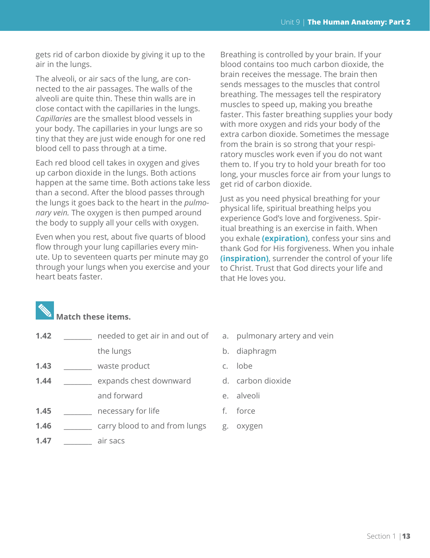gets rid of carbon dioxide by giving it up to the air in the lungs.

The alveoli, or air sacs of the lung, are connected to the air passages. The walls of the alveoli are quite thin. These thin walls are in close contact with the capillaries in the lungs. *Capillaries* are the smallest blood vessels in your body. The capillaries in your lungs are so tiny that they are just wide enough for one red blood cell to pass through at a time.

Each red blood cell takes in oxygen and gives up carbon dioxide in the lungs. Both actions happen at the same time. Both actions take less than a second. After the blood passes through the lungs it goes back to the heart in the *pulmonary vein.* The oxygen is then pumped around the body to supply all your cells with oxygen.

Even when you rest, about five quarts of blood flow through your lung capillaries every minute. Up to seventeen quarts per minute may go through your lungs when you exercise and your heart beats faster.

Breathing is controlled by your brain. If your blood contains too much carbon dioxide, the brain receives the message. The brain then sends messages to the muscles that control breathing. The messages tell the respiratory muscles to speed up, making you breathe faster. This faster breathing supplies your body with more oxygen and rids your body of the extra carbon dioxide. Sometimes the message from the brain is so strong that your respiratory muscles work even if you do not want them to. If you try to hold your breath for too long, your muscles force air from your lungs to get rid of carbon dioxide.

Just as you need physical breathing for your physical life, spiritual breathing helps you experience God's love and forgiveness. Spiritual breathing is an exercise in faith. When you exhale **(expiration)**, confess your sins and thank God for His forgiveness. When you inhale **(inspiration)**, surrender the control of your life to Christ. Trust that God directs your life and that He loves you.

### **Match these items.**

- **1.42 1.42 needed to get air in and out of a. pulmonary artery and vein** the lungs b. diaphragm
- **1.43** \_\_\_\_\_\_\_\_ waste product c. lobe
- **1.44** \_\_\_\_\_\_\_ expands chest downward d. carbon dioxide and forward e. alveoli
- **1.45** \_\_\_\_\_\_\_\_ necessary for life f. force
- **1.46 \_\_\_\_\_\_** carry blood to and from lungs g. oxygen
- **1.47** \_\_\_\_\_\_\_\_ air sacs
- 
- 
- 
- 
- 
- 
-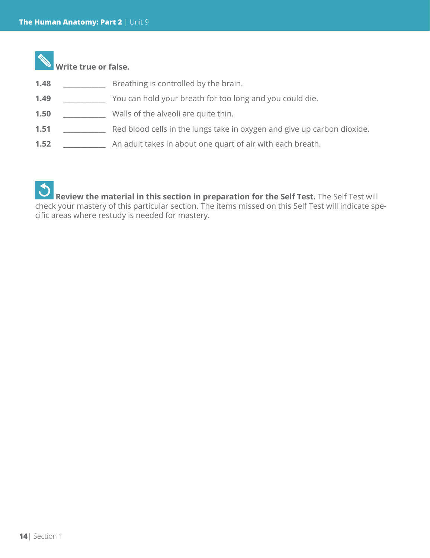

#### **Write true or false.**

- **1.48** \_\_\_\_\_\_\_\_\_\_\_\_ Breathing is controlled by the brain.
- **1.49** \_\_\_\_\_\_\_\_\_\_\_\_ You can hold your breath for too long and you could die.
- **1.50** \_\_\_\_\_\_\_\_\_\_\_\_ Walls of the alveoli are quite thin.
- **1.51** \_\_\_\_\_\_\_\_\_\_\_\_ Red blood cells in the lungs take in oxygen and give up carbon dioxide.
- **1.52** \_\_\_\_\_\_\_\_\_\_\_\_ An adult takes in about one quart of air with each breath.

 **Review the material in this section in preparation for the Self Test.** The Self Test will check your mastery of this particular section. The items missed on this Self Test will indicate specific areas where restudy is needed for mastery.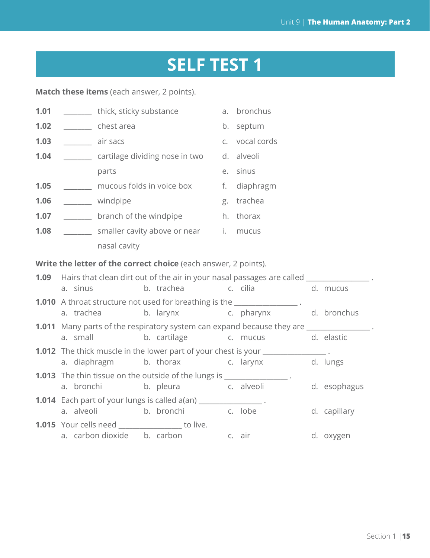# **SELF TEST 1**

**Match these items** (each answer, 2 points).

| 1.01 |                                                                                         | ________ thick, sticky substance a. bronchus                    |  |                      |  |  |                                                                                                     |  |              |
|------|-----------------------------------------------------------------------------------------|-----------------------------------------------------------------|--|----------------------|--|--|-----------------------------------------------------------------------------------------------------|--|--------------|
| 1.02 |                                                                                         | <b>Example 2</b> chest area                                     |  |                      |  |  | b. septum                                                                                           |  |              |
| 1.03 |                                                                                         | air sacs                                                        |  |                      |  |  | c. vocal cords                                                                                      |  |              |
| 1.04 |                                                                                         | cartilage dividing nose in two                                  |  |                      |  |  | d. alveoli                                                                                          |  |              |
|      |                                                                                         | parts                                                           |  |                      |  |  | e. sinus                                                                                            |  |              |
| 1.05 |                                                                                         | mucous folds in voice box f. diaphragm                          |  |                      |  |  |                                                                                                     |  |              |
| 1.06 |                                                                                         | windpipe                                                        |  |                      |  |  | g. trachea                                                                                          |  |              |
| 1.07 |                                                                                         | branch of the windpipe h. thorax                                |  |                      |  |  |                                                                                                     |  |              |
| 1.08 |                                                                                         | _______ smaller cavity above or near i. mucus                   |  |                      |  |  |                                                                                                     |  |              |
|      |                                                                                         | nasal cavity                                                    |  |                      |  |  |                                                                                                     |  |              |
|      |                                                                                         | Write the letter of the correct choice (each answer, 2 points). |  |                      |  |  |                                                                                                     |  |              |
|      |                                                                                         |                                                                 |  |                      |  |  | <b>1.09</b> Hairs that clean dirt out of the air in your nasal passages are called _______________. |  |              |
|      | a. sinus                                                                                |                                                                 |  |                      |  |  | b. trachea c. cilia                                                                                 |  | d. mucus     |
|      |                                                                                         |                                                                 |  |                      |  |  | 1.010 A throat structure not used for breathing is the _______________.                             |  |              |
|      | a. trachea                                                                              |                                                                 |  |                      |  |  | b. larynx c. pharynx d. bronchus                                                                    |  |              |
|      | <b>1.011</b> Many parts of the respiratory system can expand because they are _________ |                                                                 |  |                      |  |  |                                                                                                     |  |              |
|      |                                                                                         | a. small                                                        |  |                      |  |  | b. cartilage c. mucus                                                                               |  | d. elastic   |
|      | 1.012 The thick muscle in the lower part of your chest is your ______________.          |                                                                 |  |                      |  |  |                                                                                                     |  |              |
|      |                                                                                         | a. diaphragm                                                    |  |                      |  |  | b. thorax c. larynx d. lungs                                                                        |  |              |
|      | 1.013 The thin tissue on the outside of the lungs is _______________.                   |                                                                 |  |                      |  |  |                                                                                                     |  |              |
|      |                                                                                         | a. bronchi                                                      |  | b. pleura c. alveoli |  |  |                                                                                                     |  | d. esophagus |
|      | <b>1.014</b> Each part of your lungs is called a(an) _______________.                   |                                                                 |  |                      |  |  |                                                                                                     |  |              |
|      |                                                                                         | a. alveoli                                                      |  | b. bronchi c. lobe   |  |  |                                                                                                     |  | d. capillary |
|      | 1.015 Your cells need _________________ to live.                                        |                                                                 |  |                      |  |  |                                                                                                     |  |              |
|      |                                                                                         | a. carbon dioxide b. carbon b c. air                            |  |                      |  |  |                                                                                                     |  | d. oxygen    |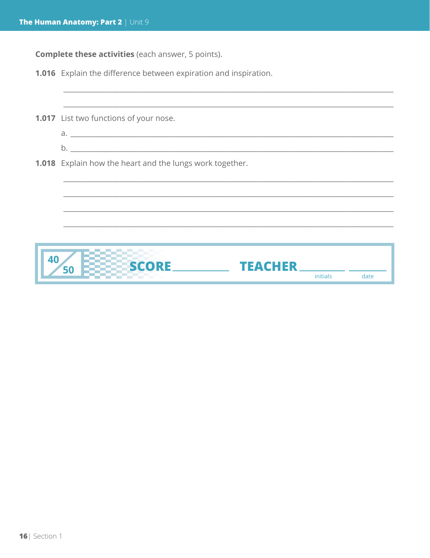**Complete these activities** (each answer, 5 points).

1.016 Explain the difference between expiration and inspiration.

|    | 1.017 List two functions of your nose.                          |          |      |
|----|-----------------------------------------------------------------|----------|------|
|    |                                                                 |          |      |
|    |                                                                 |          |      |
|    | <b>1.018</b> Explain how the heart and the lungs work together. |          |      |
|    |                                                                 |          |      |
|    |                                                                 |          |      |
|    |                                                                 |          |      |
|    |                                                                 |          |      |
|    |                                                                 |          |      |
| 40 | <b>SCORE</b><br><b>TEACHER</b>                                  |          |      |
|    |                                                                 | initials | date |